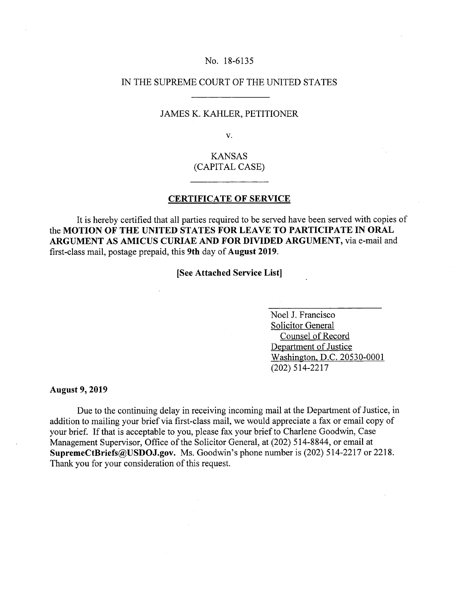#### No. 18-6135

### IN THE SUPREME COURT OF THE UNITED STATES

#### JAMES K. KAHLER, PETITIONER

V.

# KANSAS (CAPITAL CASE)

## **CERTIFICATE OF SERVICE**

It is hereby certified that all parties required to be served have been served with copies of **the MOTION OF THE UNITED STATES FOR LEAVE TO PARTICIPATE IN ORAL ARGUMENT AS AMICUS CURIAE AND FOR DIVIDED ARGUMENT,** via e-mail and first-class mail, postage prepaid, this **9th** day of **August 2019.** 

**[See Attached Service List]** 

Noel J. Francisco Solicitor General Counsel of Record Department of Justice Washington, D.C. 20530-0001 (202) 514-2217

**August 9, 2019** 

Due to the continuing delay in receiving incoming mail at the Department of Justice, in addition to mailing your brief via first-class mail, we would appreciate a fax or email copy of your brief. If that is acceptable to you, please fax your brief to Charlene Goodwin, Case Management Supervisor, Office of the Solicitor General, at (202) *514-8844,* or email at **SupremeCtBriefs@USflOJ.gov.** Ms. Goodwin's phone number is (202) 514-2217 or 2218. Thank you for your consideration of this request.